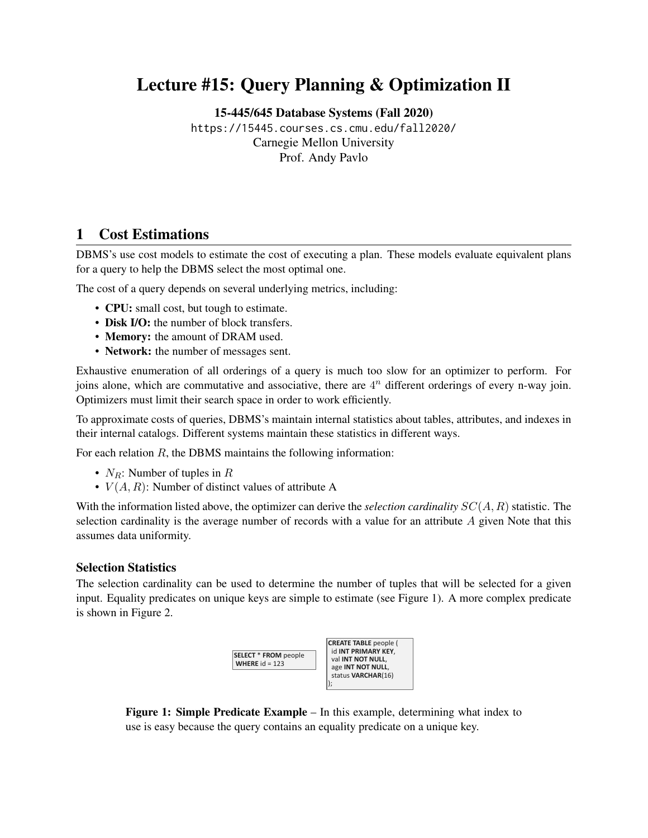# Lecture #15: Query Planning & Optimization II

[15-445/645 Database Systems \(Fall 2020\)](https://15445.courses.cs.cmu.edu/fall2020/)

<https://15445.courses.cs.cmu.edu/fall2020/> Carnegie Mellon University [Prof. Andy Pavlo](http://www.cs.cmu.edu/~pavlo/)

## 1 Cost Estimations

DBMS's use cost models to estimate the cost of executing a plan. These models evaluate equivalent plans for a query to help the DBMS select the most optimal one.

The cost of a query depends on several underlying metrics, including:

- CPU: small cost, but tough to estimate.
- Disk I/O: the number of block transfers.
- **Memory:** the amount of DRAM used.
- Network: the number of messages sent.

Exhaustive enumeration of all orderings of a query is much too slow for an optimizer to perform. For joins alone, which are commutative and associative, there are  $4<sup>n</sup>$  different orderings of every n-way join. Optimizers must limit their search space in order to work efficiently.

To approximate costs of queries, DBMS's maintain internal statistics about tables, attributes, and indexes in their internal catalogs. Different systems maintain these statistics in different ways.

For each relation  $R$ , the DBMS maintains the following information:

- $N_R$ : Number of tuples in R
- $V(A, R)$ : Number of distinct values of attribute A

With the information listed above, the optimizer can derive the *selection cardinality* SC(A, R) statistic. The selection cardinality is the average number of records with a value for an attribute  $\tilde{A}$  given Note that this assumes data uniformity.

#### Selection Statistics

<span id="page-0-0"></span>The selection cardinality can be used to determine the number of tuples that will be selected for a given input. Equality predicates on unique keys are simple to estimate (see [Figure 1\)](#page-0-0). A more complex predicate is shown in [Figure 2.](#page-1-0)



use is easy because the query contains an equality predicate on a unique key. Figure 1: Simple Predicate Example – In this example, determining what index to

**WHERE** age = 30

**WHERE** val > 1000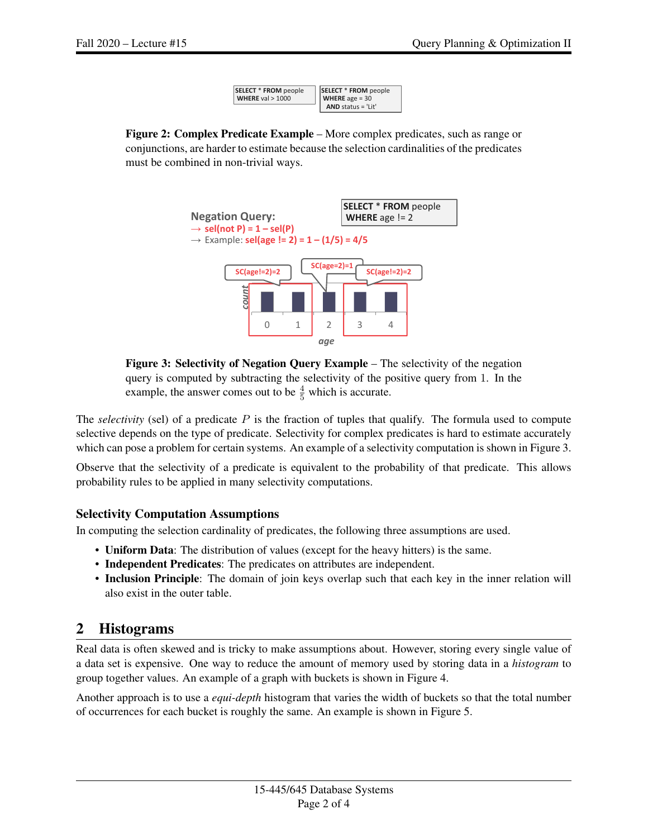| SELECT * FROM people | SELECT * FROM people    |
|----------------------|-------------------------|
| WHERE $val > 1000$   | <b>WHERE</b> age $= 30$ |
|                      | AND status = 'Lit'      |

<span id="page-1-1"></span><span id="page-1-0"></span>Figure 2: Complex Predicate Example – More complex predicates, such as range or conjunctions, are harder to estimate because the selection cardinalities of the predicates must be combined in non-trivial ways.





The *selectivity* (sel) of a predicate P is the fraction of tuples that qualify. The formula used to compute selective depends on the type of predicate. Selectivity for complex predicates is hard to estimate accurately which can pose a problem for certain systems. An example of a selectivity computation is shown in [Figure 3.](#page-1-1)

Observe that the selectivity of a predicate is equivalent to the probability of that predicate. This allows probability rules to be applied in many selectivity computations.

#### Selectivity Computation Assumptions

In computing the selection cardinality of predicates, the following three assumptions are used.

- Uniform Data: The distribution of values (except for the heavy hitters) is the same.
- Independent Predicates: The predicates on attributes are independent.
- Inclusion Principle: The domain of join keys overlap such that each key in the inner relation will also exist in the outer table.

### 2 Histograms

Real data is often skewed and is tricky to make assumptions about. However, storing every single value of a data set is expensive. One way to reduce the amount of memory used by storing data in a *histogram* to group together values. An example of a graph with buckets is shown in [Figure 4.](#page-2-0)

Another approach is to use a *equi-depth* histogram that varies the width of buckets so that the total number of occurrences for each bucket is roughly the same. An example is shown in [Figure 5.](#page-2-1)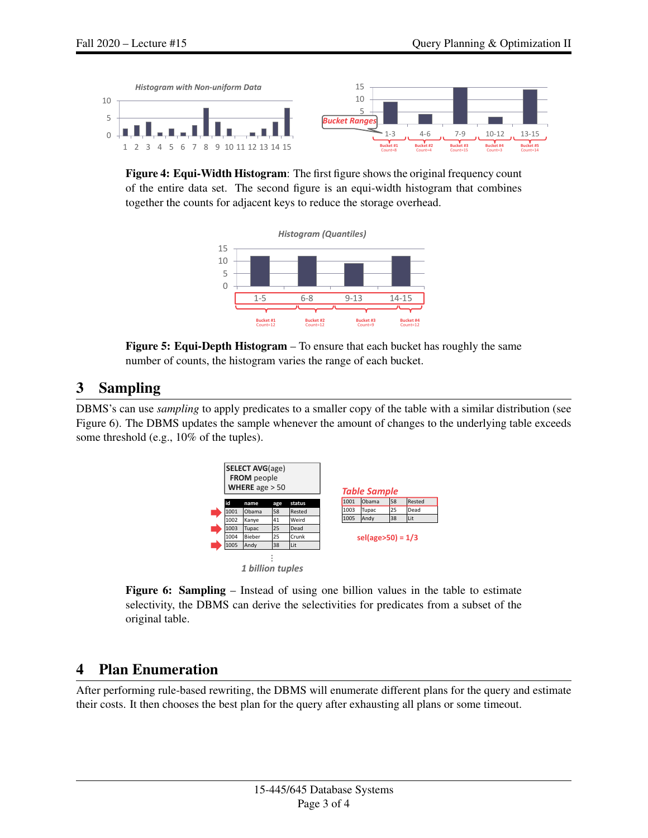<span id="page-2-0"></span>

<span id="page-2-1"></span>of the entire data set. The second figure is an equi-width histogram that combines Figure 4: Equi-Width Histogram: The first figure shows the original frequency count together the counts for adjacent keys to reduce the storage overhead.



Figure 5: Equi-Depth Histogram – To ensure that each bucket has roughly the same number of counts, the histogram varies the range of each bucket.

### 3 Sampling

<span id="page-2-2"></span>DBMS's can use *sampling* to apply predicates to a smaller copy of the table with a similar distribution (see [Figure 6\)](#page-2-2). The DBMS updates the sample whenever the amount of changes to the underlying table exceeds some threshold (e.g., 10% of the tuples).



Figure 6: Sampling – Instead of using one billion values in the table to estimate selectivity, the DBMS can derive the selectivities for predicates from a subset of the original table.

### 4 Plan Enumeration

After performing rule-based rewriting, the DBMS will enumerate different plans for the query and estimate their costs. It then chooses the best plan for the query after exhausting all plans or some timeout.